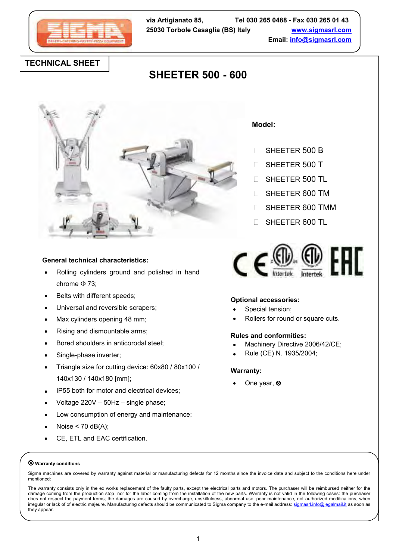

## **TECHNICAL SHEET**

# **SHEETER 500 - 600**



### **General technical characteristics:**

- Rolling cylinders ground and polished in hand chrome Φ 73;
- Belts with different speeds;
- Universal and reversible scrapers;
- Max cylinders opening 48 mm;
- Rising and dismountable arms;
- Bored shoulders in anticorodal steel;
- Single-phase inverter;
- Triangle size for cutting device: 60x80 / 80x100 / 140x130 / 140x180 [mm];
- IP55 both for motor and electrical devices;
- Voltage 220V 50Hz single phase;
- Low consumption of energy and maintenance;
- Noise  $<$  70 dB(A);
- CE, ETL and EAC certification.

#### **Model:**

- □ SHEETER 500 B
- **SHEETER 500 T**
- □ SHEETER 500 TL
- **SHEETER 600 TM**
- SHEETER 600 TMM
- □ SHEETER 600 TL



#### **Optional accessories:**

- Special tension;
- Rollers for round or square cuts.

#### **Rules and conformities:**

- Machinery Directive 2006/42/CE;
- Rule (CE) N. 1935/2004;

#### **Warranty:**

One year,  $\otimes$ 

#### **Warranty conditions**

Sigma machines are covered by warranty against material or manufacturing defects for 12 months since the invoice date and subject to the conditions here under mentioned:

The warranty consists only in the ex works replacement of the faulty parts, except the electrical parts and motors. The purchaser will be reimbursed neither for the damage coming from the production stop nor for the labor coming from the installation of the new parts. Warranty is not valid in the following cases: the purchaser does not respect the payment terms; the damages are caused by overcharge, unskilfulness, abnormal use, poor maintenance, not authorized modifications, when irregular or lack of of electric majeure. Manufacturing defects should be communicated to Sigma company to the e-mail address[: sigmasrl.info@legalmail.it](mailto:sigmasrl.info@legalmail.it) as soon as they appear.